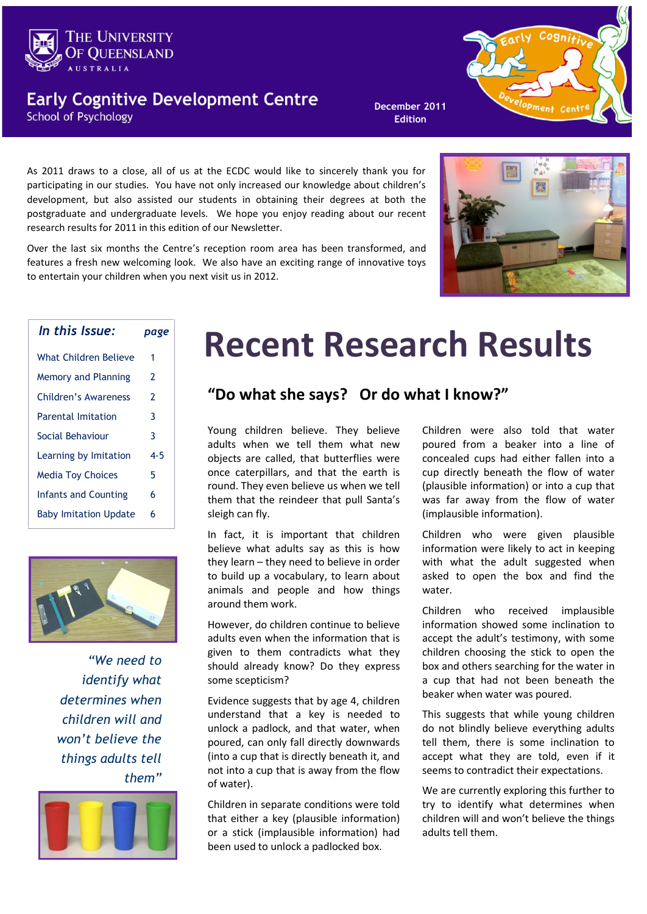

### **Early Cognitive Development Centre School of Psychology**

**December 2011 Edition**



As 2011 draws to a close, all of us at the ECDC would like to sincerely thank you for participating in our studies. You have not only increased our knowledge about children's development, but also assisted our students in obtaining their degrees at both the postgraduate and undergraduate levels. We hope you enjoy reading about our recent research results for 2011 in this edition of our Newsletter.

Over the last six months the Centre's reception room area has been transformed, and features a fresh new welcoming look. We also have an exciting range of innovative toys to entertain your children when you next visit us in 2012.



| In this Issue:               | page |
|------------------------------|------|
| What Children Believe        | 1    |
| Memory and Planning          | 2    |
| Children's Awareness         | 2    |
| <b>Parental Imitation</b>    | 3    |
| Social Behaviour             | 3    |
| Learning by Imitation        | 4-5  |
| <b>Media Toy Choices</b>     | 5    |
| <b>Infants and Counting</b>  | 6    |
| <b>Baby Imitation Update</b> | 6    |
|                              |      |



*"We need to identify what determines when children will and won't believe the things adults tell them"* 



# **Recent Research Results**

### **"Do what she says? Or do what I know?"**

Young children believe. They believe adults when we tell them what new objects are called, that butterflies were once caterpillars, and that the earth is round. They even believe us when we tell them that the reindeer that pull Santa's sleigh can fly.

In fact, it is important that children believe what adults say as this is how they learn – they need to believe in order to build up a vocabulary, to learn about animals and people and how things around them work.

However, do children continue to believe adults even when the information that is given to them contradicts what they should already know? Do they express some scepticism?

Evidence suggests that by age 4, children understand that a key is needed to unlock a padlock, and that water, when poured, can only fall directly downwards (into a cup that is directly beneath it, and not into a cup that is away from the flow of water).

Children in separate conditions were told that either a key (plausible information) or a stick (implausible information) had been used to unlock a padlocked box.

Children were also told that water poured from a beaker into a line of concealed cups had either fallen into a cup directly beneath the flow of water (plausible information) or into a cup that was far away from the flow of water (implausible information).

Children who were given plausible information were likely to act in keeping with what the adult suggested when asked to open the box and find the water.

Children who received implausible information showed some inclination to accept the adult's testimony, with some children choosing the stick to open the box and others searching for the water in a cup that had not been beneath the beaker when water was poured.

This suggests that while young children do not blindly believe everything adults tell them, there is some inclination to accept what they are told, even if it seems to contradict their expectations.

We are currently exploring this further to try to identify what determines when children will and won't believe the things adults tell them.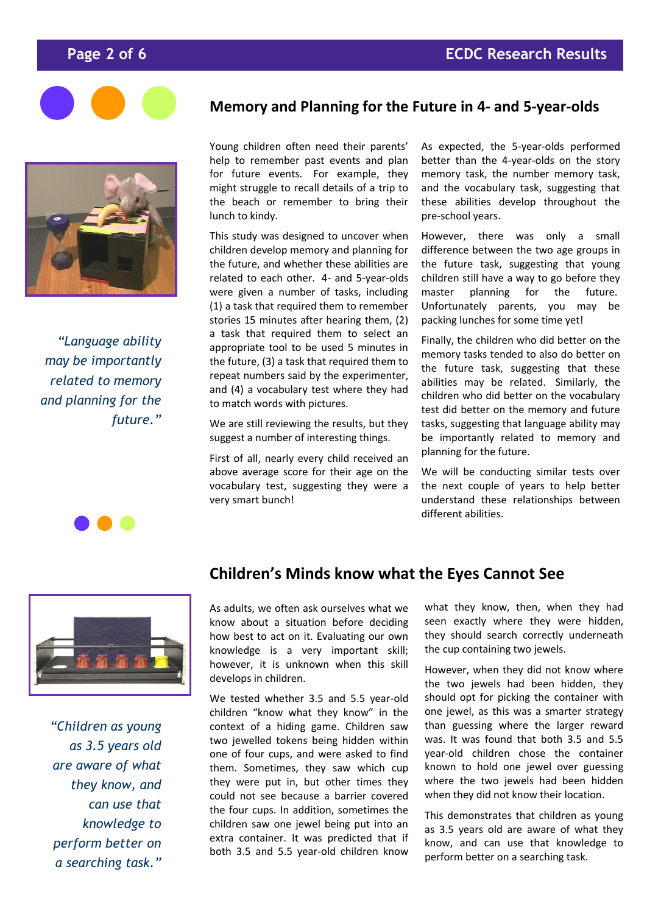

*"Language ability may be importantly related to memory and planning for the future."* 



#### **Memory and Planning for the Future in 4- and 5-year-olds**

Young children often need their parents' help to remember past events and plan for future events. For example, they might struggle to recall details of a trip to the beach or remember to bring their lunch to kindy.

This study was designed to uncover when children develop memory and planning for the future, and whether these abilities are related to each other. 4- and 5-year-olds were given a number of tasks, including (1) a task that required them to remember stories 15 minutes after hearing them, (2) a task that required them to select an appropriate tool to be used 5 minutes in the future, (3) a task that required them to repeat numbers said by the experimenter, and (4) a vocabulary test where they had to match words with pictures.

We are still reviewing the results, but they suggest a number of interesting things.

First of all, nearly every child received an above average score for their age on the vocabulary test, suggesting they were a very smart bunch!

As expected, the 5-year-olds performed better than the 4-year-olds on the story memory task, the number memory task, and the vocabulary task, suggesting that these abilities develop throughout the pre-school years.

However, there was only a small difference between the two age groups in the future task, suggesting that young children still have a way to go before they master planning for the future. Unfortunately parents, you may be packing lunches for some time yet!

Finally, the children who did better on the memory tasks tended to also do better on the future task, suggesting that these abilities may be related. Similarly, the children who did better on the vocabulary test did better on the memory and future tasks, suggesting that language ability may be importantly related to memory and planning for the future.

We will be conducting similar tests over the next couple of years to help better understand these relationships between different abilities.



*"Children as young as 3.5 years old are aware of what they know, and can use that knowledge to perform better on a searching task."* 

### **Children's Minds know what the Eyes Cannot See**

As adults, we often ask ourselves what we know about a situation before deciding how best to act on it. Evaluating our own knowledge is a very important skill; however, it is unknown when this skill develops in children.

We tested whether 3.5 and 5.5 year-old children "know what they know" in the context of a hiding game. Children saw two jewelled tokens being hidden within one of four cups, and were asked to find them. Sometimes, they saw which cup they were put in, but other times they could not see because a barrier covered the four cups. In addition, sometimes the children saw one jewel being put into an extra container. It was predicted that if both 3.5 and 5.5 year-old children know

what they know, then, when they had seen exactly where they were hidden, they should search correctly underneath the cup containing two jewels.

However, when they did not know where the two jewels had been hidden, they should opt for picking the container with one jewel, as this was a smarter strategy than guessing where the larger reward was. It was found that both 3.5 and 5.5 year-old children chose the container known to hold one jewel over guessing where the two jewels had been hidden when they did not know their location.

This demonstrates that children as young as 3.5 years old are aware of what they know, and can use that knowledge to perform better on a searching task.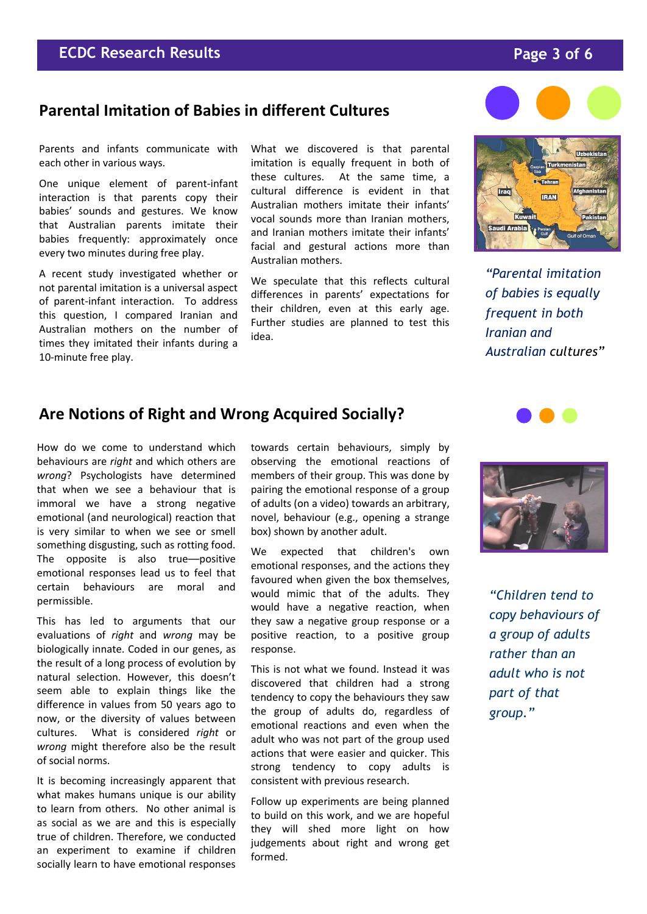### **Parental Imitation of Babies in different Cultures**

Parents and infants communicate with each other in various ways.

One unique element of parent-infant interaction is that parents copy their babies' sounds and gestures. We know that Australian parents imitate their babies frequently: approximately once every two minutes during free play.

A recent study investigated whether or not parental imitation is a universal aspect of parent-infant interaction. To address this question, I compared Iranian and Australian mothers on the number of times they imitated their infants during a 10-minute free play.

What we discovered is that parental imitation is equally frequent in both of these cultures. At the same time, a cultural difference is evident in that Australian mothers imitate their infants' vocal sounds more than Iranian mothers, and Iranian mothers imitate their infants' facial and gestural actions more than Australian mothers.

We speculate that this reflects cultural differences in parents' expectations for their children, even at this early age. Further studies are planned to test this idea.



*"Parental imitation of babies is equally frequent in both Iranian and Australian cultures"*

#### **Are Notions of Right and Wrong Acquired Socially?**

How do we come to understand which behaviours are *right* and which others are *wrong*? Psychologists have determined that when we see a behaviour that is immoral we have a strong negative emotional (and neurological) reaction that is very similar to when we see or smell something disgusting, such as rotting food. The opposite is also true-positive emotional responses lead us to feel that certain behaviours are moral and permissible.

This has led to arguments that our evaluations of *right* and *wrong* may be biologically innate. Coded in our genes, as the result of a long process of evolution by natural selection. However, this doesn't seem able to explain things like the difference in values from 50 years ago to now, or the diversity of values between cultures. What is considered *right* or *wrong* might therefore also be the result of social norms.

It is becoming increasingly apparent that what makes humans unique is our ability to learn from others. No other animal is as social as we are and this is especially true of children. Therefore, we conducted an experiment to examine if children socially learn to have emotional responses towards certain behaviours, simply by observing the emotional reactions of members of their group. This was done by pairing the emotional response of a group of adults (on a video) towards an arbitrary, novel, behaviour (e.g., opening a strange box) shown by another adult.

We expected that children's own emotional responses, and the actions they favoured when given the box themselves, would mimic that of the adults. They would have a negative reaction, when they saw a negative group response or a positive reaction, to a positive group response.

This is not what we found. Instead it was discovered that children had a strong tendency to copy the behaviours they saw the group of adults do, regardless of emotional reactions and even when the adult who was not part of the group used actions that were easier and quicker. This strong tendency to copy adults is consistent with previous research.

Follow up experiments are being planned to build on this work, and we are hopeful they will shed more light on how judgements about right and wrong get formed.





*"Children tend to copy behaviours of a group of adults rather than an adult who is not part of that group."*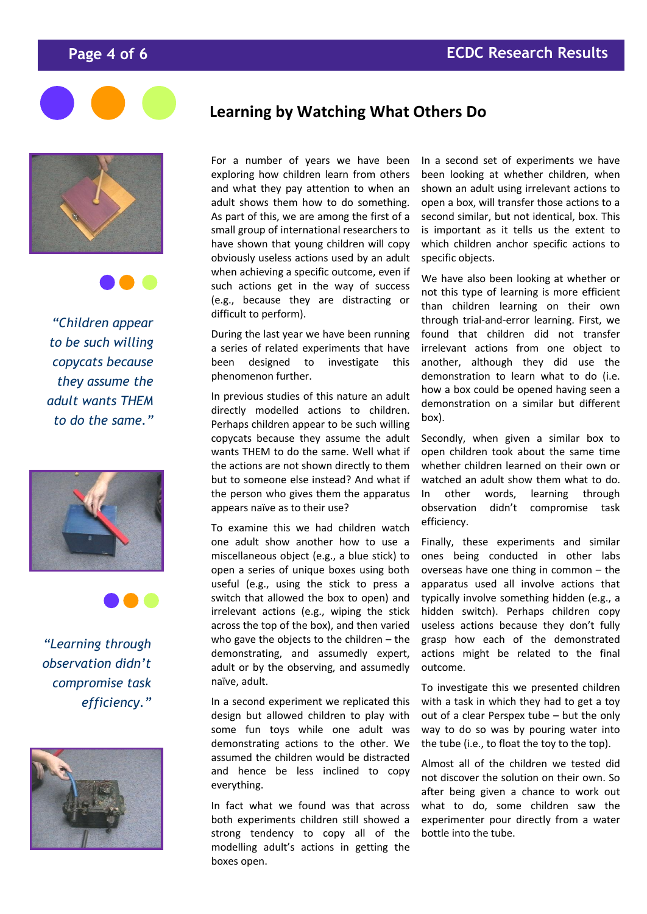





*"Children appear to be such willing copycats because they assume the adult wants THEM to do the same."*





*"Learning through observation didn't compromise task efficiency."*



### **Learning by Watching What Others Do**

For a number of years we have been exploring how children learn from others and what they pay attention to when an adult shows them how to do something. As part of this, we are among the first of a small group of international researchers to have shown that young children will copy obviously useless actions used by an adult when achieving a specific outcome, even if such actions get in the way of success (e.g., because they are distracting or difficult to perform).

During the last year we have been running a series of related experiments that have been designed to investigate this phenomenon further.

In previous studies of this nature an adult directly modelled actions to children. Perhaps children appear to be such willing copycats because they assume the adult wants THEM to do the same. Well what if the actions are not shown directly to them but to someone else instead? And what if the person who gives them the apparatus appears naïve as to their use?

To examine this we had children watch one adult show another how to use a miscellaneous object (e.g., a blue stick) to open a series of unique boxes using both useful (e.g., using the stick to press a switch that allowed the box to open) and irrelevant actions (e.g., wiping the stick across the top of the box), and then varied who gave the objects to the children – the demonstrating, and assumedly expert, adult or by the observing, and assumedly naïve, adult.

In a second experiment we replicated this design but allowed children to play with some fun toys while one adult was demonstrating actions to the other. We assumed the children would be distracted and hence be less inclined to copy everything.

In fact what we found was that across both experiments children still showed a strong tendency to copy all of the modelling adult's actions in getting the boxes open.

In a second set of experiments we have been looking at whether children, when shown an adult using irrelevant actions to open a box, will transfer those actions to a second similar, but not identical, box. This is important as it tells us the extent to which children anchor specific actions to specific objects.

We have also been looking at whether or not this type of learning is more efficient than children learning on their own through trial-and-error learning. First, we found that children did not transfer irrelevant actions from one object to another, although they did use the demonstration to learn what to do (i.e. how a box could be opened having seen a demonstration on a similar but different box).

Secondly, when given a similar box to open children took about the same time whether children learned on their own or watched an adult show them what to do. In other words, learning through observation didn't compromise task efficiency.

Finally, these experiments and similar ones being conducted in other labs overseas have one thing in common – the apparatus used all involve actions that typically involve something hidden (e.g., a hidden switch). Perhaps children copy useless actions because they don't fully grasp how each of the demonstrated actions might be related to the final outcome.

To investigate this we presented children with a task in which they had to get a toy out of a clear Perspex tube – but the only way to do so was by pouring water into the tube (i.e., to float the toy to the top).

Almost all of the children we tested did not discover the solution on their own. So after being given a chance to work out what to do, some children saw the experimenter pour directly from a water bottle into the tube.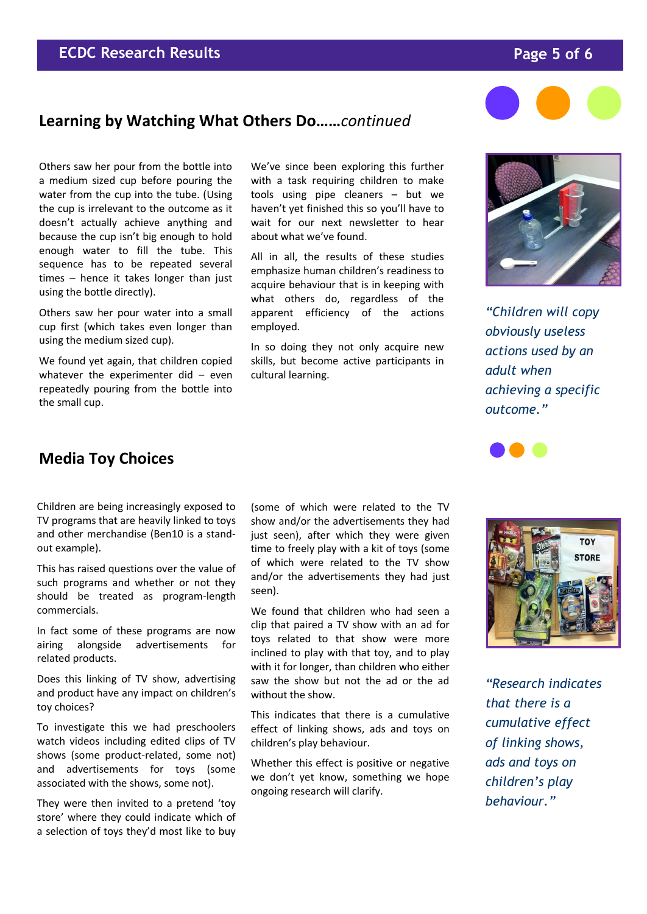#### **ECDC Research Results Page 5 of 6**

#### **Learning by Watching What Others Do……***continued*

Others saw her pour from the bottle into a medium sized cup before pouring the water from the cup into the tube. (Using the cup is irrelevant to the outcome as it doesn't actually achieve anything and because the cup isn't big enough to hold enough water to fill the tube. This sequence has to be repeated several times – hence it takes longer than just using the bottle directly).

Others saw her pour water into a small cup first (which takes even longer than using the medium sized cup).

We found yet again, that children copied whatever the experimenter did  $-$  even repeatedly pouring from the bottle into the small cup.

We've since been exploring this further with a task requiring children to make tools using pipe cleaners – but we haven't yet finished this so you'll have to wait for our next newsletter to hear about what we've found.

All in all, the results of these studies emphasize human children's readiness to acquire behaviour that is in keeping with what others do, regardless of the apparent efficiency of the actions employed.

In so doing they not only acquire new skills, but become active participants in cultural learning.



*"Children will copy obviously useless actions used by an adult when achieving a specific outcome."*



### **Media Toy Choices**

Children are being increasingly exposed to TV programs that are heavily linked to toys and other merchandise (Ben10 is a standout example).

This has raised questions over the value of such programs and whether or not they should be treated as program-length commercials.

In fact some of these programs are now airing alongside advertisements for related products.

Does this linking of TV show, advertising and product have any impact on children's toy choices?

To investigate this we had preschoolers watch videos including edited clips of TV shows (some product-related, some not) and advertisements for toys (some associated with the shows, some not).

They were then invited to a pretend 'toy store' where they could indicate which of a selection of toys they'd most like to buy

(some of which were related to the TV show and/or the advertisements they had just seen), after which they were given time to freely play with a kit of toys (some of which were related to the TV show and/or the advertisements they had just seen).

We found that children who had seen a clip that paired a TV show with an ad for toys related to that show were more inclined to play with that toy, and to play with it for longer, than children who either saw the show but not the ad or the ad without the show.

This indicates that there is a cumulative effect of linking shows, ads and toys on children's play behaviour.

Whether this effect is positive or negative we don't yet know, something we hope ongoing research will clarify.



*"Research indicates that there is a cumulative effect of linking shows, ads and toys on children's play behaviour."*